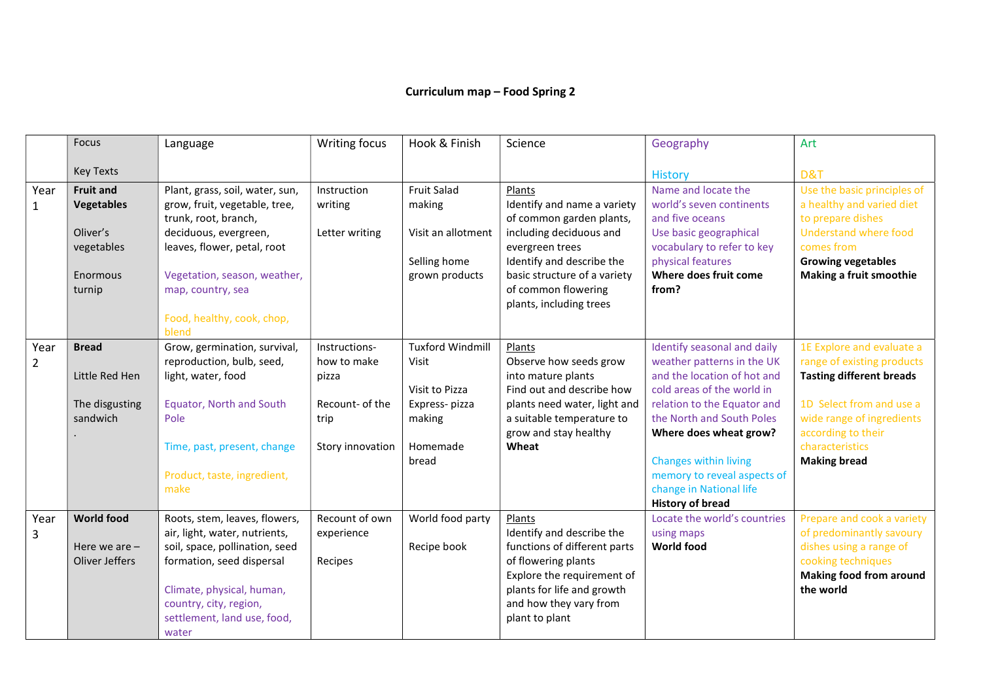## Curriculum map – Food Spring 2

|                | Focus                                             | Language                                                                                                          | Writing focus                            | Hook & Finish                                      | Science                                                                                                                        | Geography                                                                                    | Art                                                                                                           |
|----------------|---------------------------------------------------|-------------------------------------------------------------------------------------------------------------------|------------------------------------------|----------------------------------------------------|--------------------------------------------------------------------------------------------------------------------------------|----------------------------------------------------------------------------------------------|---------------------------------------------------------------------------------------------------------------|
|                | <b>Key Texts</b>                                  |                                                                                                                   |                                          |                                                    |                                                                                                                                | <b>History</b>                                                                               | D&T                                                                                                           |
| Year<br>1      | <b>Fruit and</b><br><b>Vegetables</b><br>Oliver's | Plant, grass, soil, water, sun,<br>grow, fruit, vegetable, tree,<br>trunk, root, branch,<br>deciduous, evergreen, | Instruction<br>writing<br>Letter writing | <b>Fruit Salad</b><br>making<br>Visit an allotment | Plants<br>Identify and name a variety<br>of common garden plants,<br>including deciduous and                                   | Name and locate the<br>world's seven continents<br>and five oceans<br>Use basic geographical | Use the basic principles of<br>a healthy and varied diet<br>to prepare dishes<br><b>Understand where food</b> |
|                | vegetables<br>Enormous<br>turnip                  | leaves, flower, petal, root<br>Vegetation, season, weather,<br>map, country, sea                                  |                                          | Selling home<br>grown products                     | evergreen trees<br>Identify and describe the<br>basic structure of a variety<br>of common flowering<br>plants, including trees | vocabulary to refer to key<br>physical features<br>Where does fruit come<br>from?            | comes from<br><b>Growing vegetables</b><br>Making a fruit smoothie                                            |
|                |                                                   | Food, healthy, cook, chop,<br>blend                                                                               |                                          |                                                    |                                                                                                                                |                                                                                              |                                                                                                               |
| Year           | <b>Bread</b>                                      | Grow, germination, survival,<br>reproduction, bulb, seed,                                                         | Instructions-<br>how to make             | <b>Tuxford Windmill</b><br>Visit                   | Plants<br>Observe how seeds grow                                                                                               | Identify seasonal and daily<br>weather patterns in the UK                                    | 1E Explore and evaluate a<br>range of existing products                                                       |
| $\overline{2}$ | Little Red Hen                                    | light, water, food                                                                                                | pizza                                    |                                                    | into mature plants                                                                                                             | and the location of hot and                                                                  | <b>Tasting different breads</b>                                                                               |
|                |                                                   |                                                                                                                   |                                          | Visit to Pizza                                     | Find out and describe how                                                                                                      | cold areas of the world in                                                                   |                                                                                                               |
|                | The disgusting                                    | <b>Equator, North and South</b>                                                                                   | Recount- of the                          | Express-pizza                                      | plants need water, light and                                                                                                   | relation to the Equator and                                                                  | 1D Select from and use a                                                                                      |
|                | sandwich                                          | Pole                                                                                                              | trip                                     | making                                             | a suitable temperature to<br>grow and stay healthy                                                                             | the North and South Poles<br>Where does wheat grow?                                          | wide range of ingredients<br>according to their                                                               |
|                |                                                   | Time, past, present, change                                                                                       | Story innovation                         | Homemade                                           | Wheat                                                                                                                          |                                                                                              | characteristics                                                                                               |
|                |                                                   |                                                                                                                   |                                          | bread                                              |                                                                                                                                | <b>Changes within living</b>                                                                 | <b>Making bread</b>                                                                                           |
|                |                                                   | Product, taste, ingredient,                                                                                       |                                          |                                                    |                                                                                                                                | memory to reveal aspects of                                                                  |                                                                                                               |
|                |                                                   | make                                                                                                              |                                          |                                                    |                                                                                                                                | change in National life<br><b>History of bread</b>                                           |                                                                                                               |
| Year           | <b>World food</b>                                 | Roots, stem, leaves, flowers,                                                                                     | Recount of own                           | World food party                                   | Plants                                                                                                                         | Locate the world's countries                                                                 | Prepare and cook a variety                                                                                    |
| 3              |                                                   | air, light, water, nutrients,                                                                                     | experience                               |                                                    | Identify and describe the                                                                                                      | using maps                                                                                   | of predominantly savoury                                                                                      |
|                | Here we are $-$                                   | soil, space, pollination, seed                                                                                    |                                          | Recipe book                                        | functions of different parts                                                                                                   | <b>World food</b>                                                                            | dishes using a range of                                                                                       |
|                | Oliver Jeffers                                    | formation, seed dispersal                                                                                         | Recipes                                  |                                                    | of flowering plants                                                                                                            |                                                                                              | cooking techniques                                                                                            |
|                |                                                   | Climate, physical, human,                                                                                         |                                          |                                                    | Explore the requirement of<br>plants for life and growth                                                                       |                                                                                              | <b>Making food from around</b><br>the world                                                                   |
|                |                                                   | country, city, region,                                                                                            |                                          |                                                    | and how they vary from                                                                                                         |                                                                                              |                                                                                                               |
|                |                                                   | settlement, land use, food,                                                                                       |                                          |                                                    | plant to plant                                                                                                                 |                                                                                              |                                                                                                               |
|                |                                                   | water                                                                                                             |                                          |                                                    |                                                                                                                                |                                                                                              |                                                                                                               |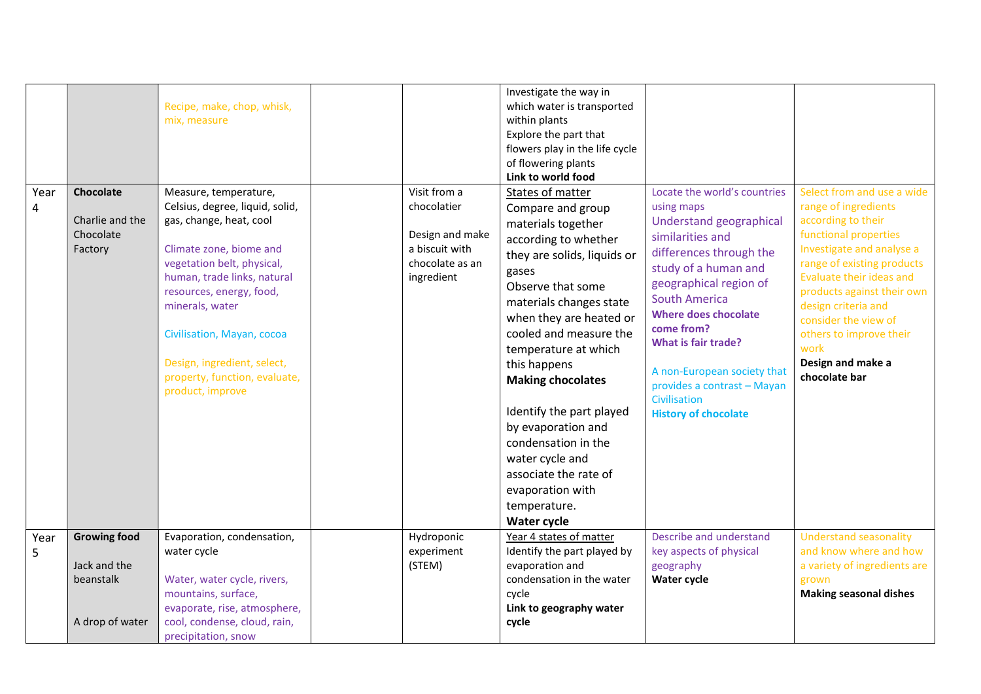| Year<br>4 | Chocolate<br>Charlie and the<br>Chocolate<br>Factory                | Recipe, make, chop, whisk,<br>mix, measure<br>Measure, temperature,<br>Celsius, degree, liquid, solid,<br>gas, change, heat, cool<br>Climate zone, biome and<br>vegetation belt, physical,<br>human, trade links, natural<br>resources, energy, food,<br>minerals, water<br>Civilisation, Mayan, cocoa<br>Design, ingredient, select,<br>property, function, evaluate,<br>product, improve | Visit from a<br>chocolatier<br>Design and make<br>a biscuit with<br>chocolate as an<br>ingredient | Investigate the way in<br>which water is transported<br>within plants<br>Explore the part that<br>flowers play in the life cycle<br>of flowering plants<br>Link to world food<br>States of matter<br>Compare and group<br>materials together<br>according to whether<br>they are solids, liquids or<br>gases<br>Observe that some<br>materials changes state<br>when they are heated or<br>cooled and measure the<br>temperature at which<br>this happens<br><b>Making chocolates</b><br>Identify the part played<br>by evaporation and<br>condensation in the<br>water cycle and<br>associate the rate of<br>evaporation with<br>temperature.<br><b>Water cycle</b> | Locate the world's countries<br>using maps<br>Understand geographical<br>similarities and<br>differences through the<br>study of a human and<br>geographical region of<br><b>South America</b><br><b>Where does chocolate</b><br>come from?<br><b>What is fair trade?</b><br>A non-European society that<br>provides a contrast - Mayan<br>Civilisation<br><b>History of chocolate</b> | Select from and use a wide<br>range of ingredients<br>according to their<br>functional properties<br>Investigate and analyse a<br>range of existing products<br>Evaluate their ideas and<br>products against their own<br>design criteria and<br>consider the view of<br>others to improve their<br>work<br>Design and make a<br>chocolate bar |
|-----------|---------------------------------------------------------------------|--------------------------------------------------------------------------------------------------------------------------------------------------------------------------------------------------------------------------------------------------------------------------------------------------------------------------------------------------------------------------------------------|---------------------------------------------------------------------------------------------------|----------------------------------------------------------------------------------------------------------------------------------------------------------------------------------------------------------------------------------------------------------------------------------------------------------------------------------------------------------------------------------------------------------------------------------------------------------------------------------------------------------------------------------------------------------------------------------------------------------------------------------------------------------------------|----------------------------------------------------------------------------------------------------------------------------------------------------------------------------------------------------------------------------------------------------------------------------------------------------------------------------------------------------------------------------------------|------------------------------------------------------------------------------------------------------------------------------------------------------------------------------------------------------------------------------------------------------------------------------------------------------------------------------------------------|
| Year<br>5 | <b>Growing food</b><br>Jack and the<br>beanstalk<br>A drop of water | Evaporation, condensation,<br>water cycle<br>Water, water cycle, rivers,<br>mountains, surface,<br>evaporate, rise, atmosphere,<br>cool, condense, cloud, rain,<br>precipitation, snow                                                                                                                                                                                                     | Hydroponic<br>experiment<br>(STEM)                                                                | Year 4 states of matter<br>Identify the part played by<br>evaporation and<br>condensation in the water<br>cycle<br>Link to geography water<br>cycle                                                                                                                                                                                                                                                                                                                                                                                                                                                                                                                  | Describe and understand<br>key aspects of physical<br>geography<br>Water cycle                                                                                                                                                                                                                                                                                                         | <b>Understand seasonality</b><br>and know where and how<br>a variety of ingredients are<br>grown<br><b>Making seasonal dishes</b>                                                                                                                                                                                                              |